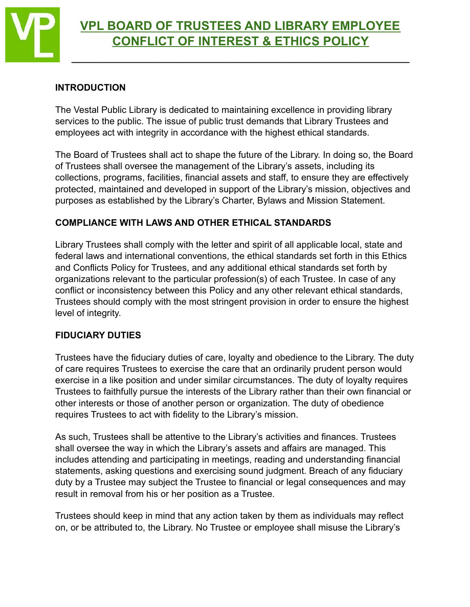

**\_\_\_\_\_\_\_\_\_\_\_\_\_\_\_\_\_\_\_\_\_\_\_\_\_\_\_\_\_\_\_\_\_\_\_\_\_\_\_\_\_\_\_\_\_\_\_\_\_\_\_\_\_\_\_\_\_\_\_\_\_\_\_\_\_\_**

#### **INTRODUCTION**

The Vestal Public Library is dedicated to maintaining excellence in providing library services to the public. The issue of public trust demands that Library Trustees and employees act with integrity in accordance with the highest ethical standards.

The Board of Trustees shall act to shape the future of the Library. In doing so, the Board of Trustees shall oversee the management of the Library's assets, including its collections, programs, facilities, financial assets and staff, to ensure they are effectively protected, maintained and developed in support of the Library's mission, objectives and purposes as established by the Library's Charter, Bylaws and Mission Statement.

### **COMPLIANCE WITH LAWS AND OTHER ETHICAL STANDARDS**

Library Trustees shall comply with the letter and spirit of all applicable local, state and federal laws and international conventions, the ethical standards set forth in this Ethics and Conflicts Policy for Trustees, and any additional ethical standards set forth by organizations relevant to the particular profession(s) of each Trustee. In case of any conflict or inconsistency between this Policy and any other relevant ethical standards, Trustees should comply with the most stringent provision in order to ensure the highest level of integrity.

#### **FIDUCIARY DUTIES**

Trustees have the fiduciary duties of care, loyalty and obedience to the Library. The duty of care requires Trustees to exercise the care that an ordinarily prudent person would exercise in a like position and under similar circumstances. The duty of loyalty requires Trustees to faithfully pursue the interests of the Library rather than their own financial or other interests or those of another person or organization. The duty of obedience requires Trustees to act with fidelity to the Library's mission.

As such, Trustees shall be attentive to the Library's activities and finances. Trustees shall oversee the way in which the Library's assets and affairs are managed. This includes attending and participating in meetings, reading and understanding financial statements, asking questions and exercising sound judgment. Breach of any fiduciary duty by a Trustee may subject the Trustee to financial or legal consequences and may result in removal from his or her position as a Trustee.

Trustees should keep in mind that any action taken by them as individuals may reflect on, or be attributed to, the Library. No Trustee or employee shall misuse the Library's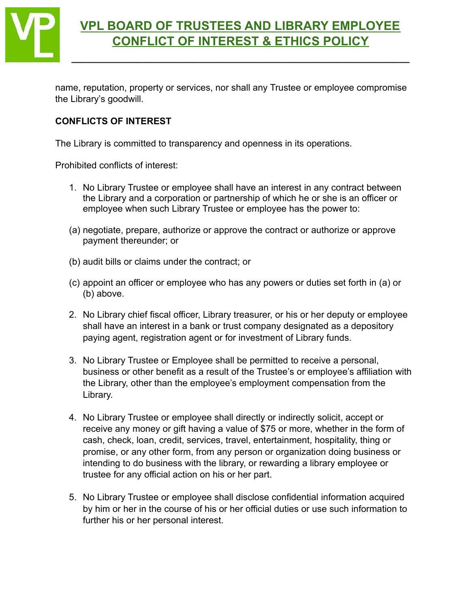

**\_\_\_\_\_\_\_\_\_\_\_\_\_\_\_\_\_\_\_\_\_\_\_\_\_\_\_\_\_\_\_\_\_\_\_\_\_\_\_\_\_\_\_\_\_\_\_\_\_\_\_\_\_\_\_\_\_\_\_\_\_\_\_\_\_\_**

name, reputation, property or services, nor shall any Trustee or employee compromise the Library's goodwill.

#### **CONFLICTS OF INTEREST**

The Library is committed to transparency and openness in its operations.

Prohibited conflicts of interest:

- 1. No Library Trustee or employee shall have an interest in any contract between the Library and a corporation or partnership of which he or she is an officer or employee when such Library Trustee or employee has the power to:
- (a) negotiate, prepare, authorize or approve the contract or authorize or approve payment thereunder; or
- (b) audit bills or claims under the contract; or
- (c) appoint an officer or employee who has any powers or duties set forth in (a) or (b) above.
- 2. No Library chief fiscal officer, Library treasurer, or his or her deputy or employee shall have an interest in a bank or trust company designated as a depository paying agent, registration agent or for investment of Library funds.
- 3. No Library Trustee or Employee shall be permitted to receive a personal, business or other benefit as a result of the Trustee's or employee's affiliation with the Library, other than the employee's employment compensation from the Library.
- 4. No Library Trustee or employee shall directly or indirectly solicit, accept or receive any money or gift having a value of \$75 or more, whether in the form of cash, check, loan, credit, services, travel, entertainment, hospitality, thing or promise, or any other form, from any person or organization doing business or intending to do business with the library, or rewarding a library employee or trustee for any official action on his or her part.
- 5. No Library Trustee or employee shall disclose confidential information acquired by him or her in the course of his or her official duties or use such information to further his or her personal interest.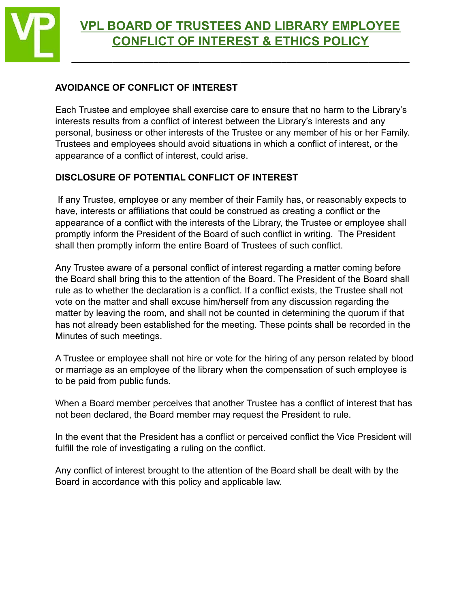

**\_\_\_\_\_\_\_\_\_\_\_\_\_\_\_\_\_\_\_\_\_\_\_\_\_\_\_\_\_\_\_\_\_\_\_\_\_\_\_\_\_\_\_\_\_\_\_\_\_\_\_\_\_\_\_\_\_\_\_\_\_\_\_\_\_\_**

## **AVOIDANCE OF CONFLICT OF INTEREST**

Each Trustee and employee shall exercise care to ensure that no harm to the Library's interests results from a conflict of interest between the Library's interests and any personal, business or other interests of the Trustee or any member of his or her Family. Trustees and employees should avoid situations in which a conflict of interest, or the appearance of a conflict of interest, could arise.

## **DISCLOSURE OF POTENTIAL CONFLICT OF INTEREST**

If any Trustee, employee or any member of their Family has, or reasonably expects to have, interests or affiliations that could be construed as creating a conflict or the appearance of a conflict with the interests of the Library, the Trustee or employee shall promptly inform the President of the Board of such conflict in writing. The President shall then promptly inform the entire Board of Trustees of such conflict.

Any Trustee aware of a personal conflict of interest regarding a matter coming before the Board shall bring this to the attention of the Board. The President of the Board shall rule as to whether the declaration is a conflict. If a conflict exists, the Trustee shall not vote on the matter and shall excuse him/herself from any discussion regarding the matter by leaving the room, and shall not be counted in determining the quorum if that has not already been established for the meeting. These points shall be recorded in the Minutes of such meetings.

A Trustee or employee shall not hire or vote for the hiring of any person related by blood or marriage as an employee of the library when the compensation of such employee is to be paid from public funds.

When a Board member perceives that another Trustee has a conflict of interest that has not been declared, the Board member may request the President to rule.

In the event that the President has a conflict or perceived conflict the Vice President will fulfill the role of investigating a ruling on the conflict.

Any conflict of interest brought to the attention of the Board shall be dealt with by the Board in accordance with this policy and applicable law.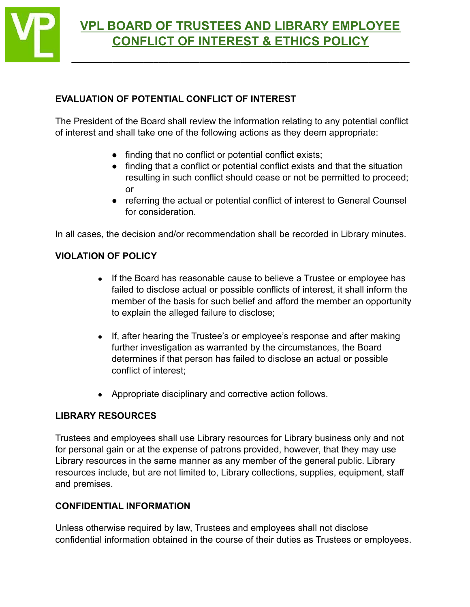

**\_\_\_\_\_\_\_\_\_\_\_\_\_\_\_\_\_\_\_\_\_\_\_\_\_\_\_\_\_\_\_\_\_\_\_\_\_\_\_\_\_\_\_\_\_\_\_\_\_\_\_\_\_\_\_\_\_\_\_\_\_\_\_\_\_\_**

## **EVALUATION OF POTENTIAL CONFLICT OF INTEREST**

The President of the Board shall review the information relating to any potential conflict of interest and shall take one of the following actions as they deem appropriate:

- finding that no conflict or potential conflict exists;
- finding that a conflict or potential conflict exists and that the situation resulting in such conflict should cease or not be permitted to proceed; or
- referring the actual or potential conflict of interest to General Counsel for consideration.

In all cases, the decision and/or recommendation shall be recorded in Library minutes.

## **VIOLATION OF POLICY**

- If the Board has reasonable cause to believe a Trustee or employee has failed to disclose actual or possible conflicts of interest, it shall inform the member of the basis for such belief and afford the member an opportunity to explain the alleged failure to disclose;
- If, after hearing the Trustee's or employee's response and after making further investigation as warranted by the circumstances, the Board determines if that person has failed to disclose an actual or possible conflict of interest;
- Appropriate disciplinary and corrective action follows.

## **LIBRARY RESOURCES**

Trustees and employees shall use Library resources for Library business only and not for personal gain or at the expense of patrons provided, however, that they may use Library resources in the same manner as any member of the general public. Library resources include, but are not limited to, Library collections, supplies, equipment, staff and premises.

## **CONFIDENTIAL INFORMATION**

Unless otherwise required by law, Trustees and employees shall not disclose confidential information obtained in the course of their duties as Trustees or employees.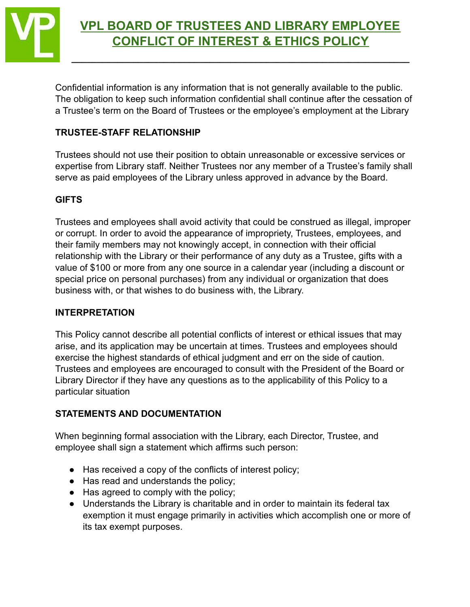

**\_\_\_\_\_\_\_\_\_\_\_\_\_\_\_\_\_\_\_\_\_\_\_\_\_\_\_\_\_\_\_\_\_\_\_\_\_\_\_\_\_\_\_\_\_\_\_\_\_\_\_\_\_\_\_\_\_\_\_\_\_\_\_\_\_\_**

Confidential information is any information that is not generally available to the public. The obligation to keep such information confidential shall continue after the cessation of a Trustee's term on the Board of Trustees or the employee's employment at the Library

## **TRUSTEE-STAFF RELATIONSHIP**

Trustees should not use their position to obtain unreasonable or excessive services or expertise from Library staff. Neither Trustees nor any member of a Trustee's family shall serve as paid employees of the Library unless approved in advance by the Board.

### **GIFTS**

Trustees and employees shall avoid activity that could be construed as illegal, improper or corrupt. In order to avoid the appearance of impropriety, Trustees, employees, and their family members may not knowingly accept, in connection with their official relationship with the Library or their performance of any duty as a Trustee, gifts with a value of \$100 or more from any one source in a calendar year (including a discount or special price on personal purchases) from any individual or organization that does business with, or that wishes to do business with, the Library.

#### **INTERPRETATION**

This Policy cannot describe all potential conflicts of interest or ethical issues that may arise, and its application may be uncertain at times. Trustees and employees should exercise the highest standards of ethical judgment and err on the side of caution. Trustees and employees are encouraged to consult with the President of the Board or Library Director if they have any questions as to the applicability of this Policy to a particular situation

## **STATEMENTS AND DOCUMENTATION**

When beginning formal association with the Library, each Director, Trustee, and employee shall sign a statement which affirms such person:

- Has received a copy of the conflicts of interest policy;
- Has read and understands the policy;
- Has agreed to comply with the policy;
- Understands the Library is charitable and in order to maintain its federal tax exemption it must engage primarily in activities which accomplish one or more of its tax exempt purposes.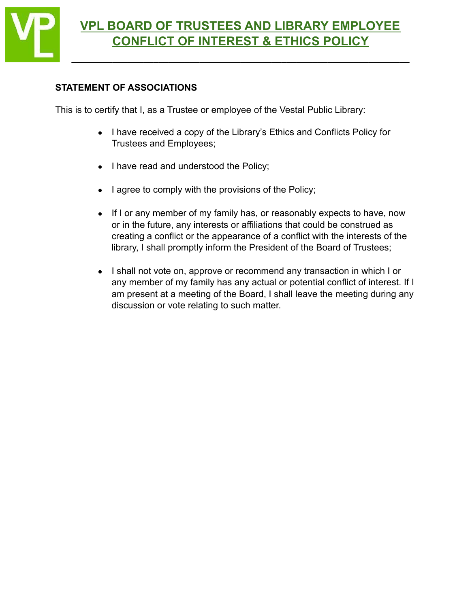

**\_\_\_\_\_\_\_\_\_\_\_\_\_\_\_\_\_\_\_\_\_\_\_\_\_\_\_\_\_\_\_\_\_\_\_\_\_\_\_\_\_\_\_\_\_\_\_\_\_\_\_\_\_\_\_\_\_\_\_\_\_\_\_\_\_\_**

### **STATEMENT OF ASSOCIATIONS**

This is to certify that I, as a Trustee or employee of the Vestal Public Library:

- I have received a copy of the Library's Ethics and Conflicts Policy for Trustees and Employees;
- I have read and understood the Policy;
- I agree to comply with the provisions of the Policy;
- If I or any member of my family has, or reasonably expects to have, now or in the future, any interests or affiliations that could be construed as creating a conflict or the appearance of a conflict with the interests of the library, I shall promptly inform the President of the Board of Trustees;
- I shall not vote on, approve or recommend any transaction in which I or any member of my family has any actual or potential conflict of interest. If I am present at a meeting of the Board, I shall leave the meeting during any discussion or vote relating to such matter.